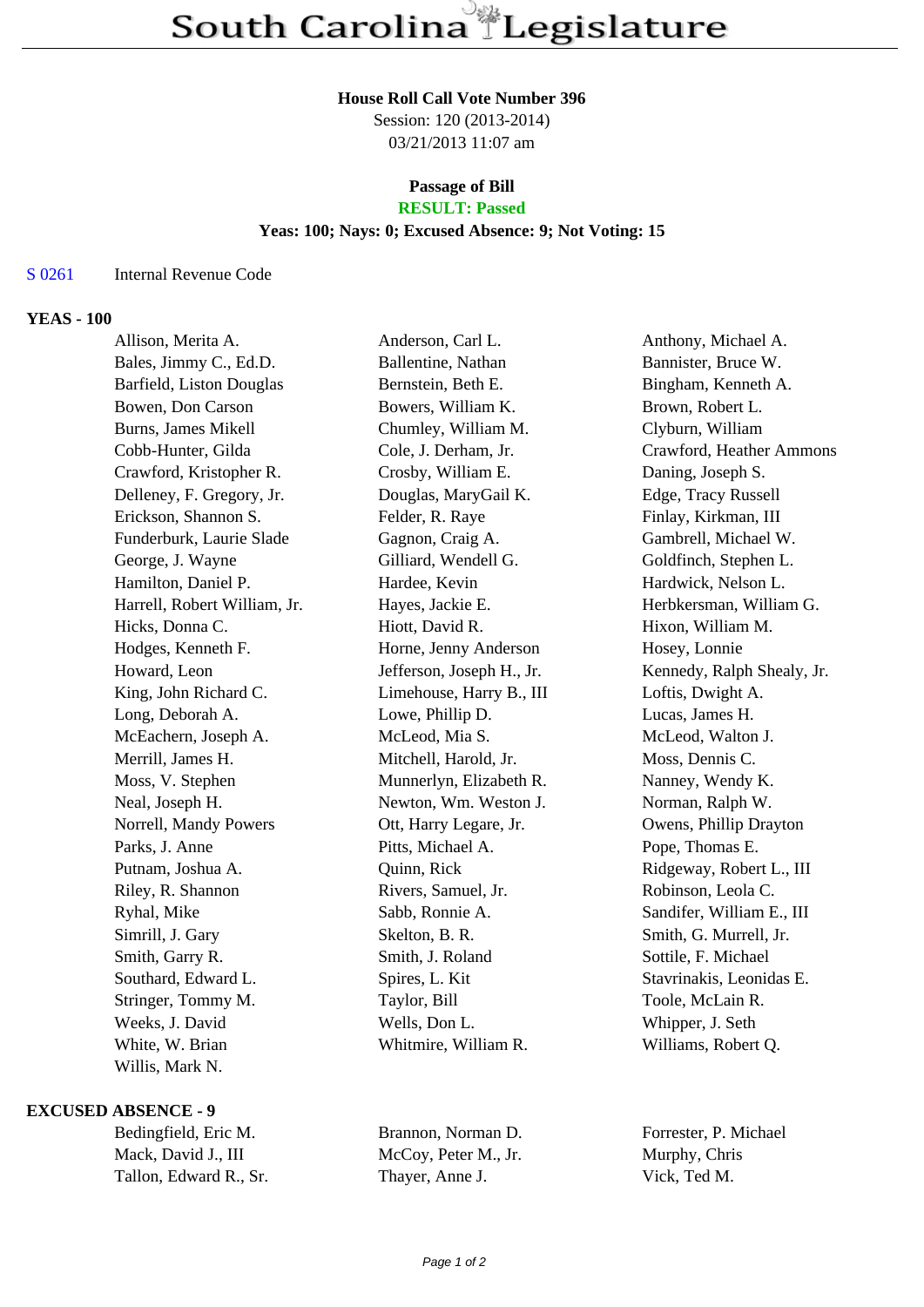#### **House Roll Call Vote Number 396**

Session: 120 (2013-2014) 03/21/2013 11:07 am

# **Passage of Bill**

## **RESULT: Passed**

#### **Yeas: 100; Nays: 0; Excused Absence: 9; Not Voting: 15**

#### S 0261 Internal Revenue Code

#### **YEAS - 100**

| Allison, Merita A.           | Anderson, Carl L.         | Anthony, Michael A.        |
|------------------------------|---------------------------|----------------------------|
| Bales, Jimmy C., Ed.D.       | Ballentine, Nathan        | Bannister, Bruce W.        |
| Barfield, Liston Douglas     | Bernstein, Beth E.        | Bingham, Kenneth A.        |
| Bowen, Don Carson            | Bowers, William K.        | Brown, Robert L.           |
| Burns, James Mikell          | Chumley, William M.       | Clyburn, William           |
| Cobb-Hunter, Gilda           | Cole, J. Derham, Jr.      | Crawford, Heather Ammons   |
| Crawford, Kristopher R.      | Crosby, William E.        | Daning, Joseph S.          |
| Delleney, F. Gregory, Jr.    | Douglas, MaryGail K.      | Edge, Tracy Russell        |
| Erickson, Shannon S.         | Felder, R. Raye           | Finlay, Kirkman, III       |
| Funderburk, Laurie Slade     | Gagnon, Craig A.          | Gambrell, Michael W.       |
| George, J. Wayne             | Gilliard, Wendell G.      | Goldfinch, Stephen L.      |
| Hamilton, Daniel P.          | Hardee, Kevin             | Hardwick, Nelson L.        |
| Harrell, Robert William, Jr. | Hayes, Jackie E.          | Herbkersman, William G.    |
| Hicks, Donna C.              | Hiott, David R.           | Hixon, William M.          |
| Hodges, Kenneth F.           | Horne, Jenny Anderson     | Hosey, Lonnie              |
| Howard, Leon                 | Jefferson, Joseph H., Jr. | Kennedy, Ralph Shealy, Jr. |
| King, John Richard C.        | Limehouse, Harry B., III  | Loftis, Dwight A.          |
| Long, Deborah A.             | Lowe, Phillip D.          | Lucas, James H.            |
| McEachern, Joseph A.         | McLeod, Mia S.            | McLeod, Walton J.          |
| Merrill, James H.            | Mitchell, Harold, Jr.     | Moss, Dennis C.            |
| Moss, V. Stephen             | Munnerlyn, Elizabeth R.   | Nanney, Wendy K.           |
| Neal, Joseph H.              | Newton, Wm. Weston J.     | Norman, Ralph W.           |
| Norrell, Mandy Powers        | Ott, Harry Legare, Jr.    | Owens, Phillip Drayton     |
| Parks, J. Anne               | Pitts, Michael A.         | Pope, Thomas E.            |
| Putnam, Joshua A.            | Quinn, Rick               | Ridgeway, Robert L., III   |
| Riley, R. Shannon            | Rivers, Samuel, Jr.       | Robinson, Leola C.         |
| Ryhal, Mike                  | Sabb, Ronnie A.           | Sandifer, William E., III  |
| Simrill, J. Gary             | Skelton, B. R.            | Smith, G. Murrell, Jr.     |
| Smith, Garry R.              | Smith, J. Roland          | Sottile, F. Michael        |
| Southard, Edward L.          | Spires, L. Kit            | Stavrinakis, Leonidas E.   |
| Stringer, Tommy M.           | Taylor, Bill              | Toole, McLain R.           |
| Weeks, J. David              | Wells, Don L.             | Whipper, J. Seth           |
| White, W. Brian              | Whitmire, William R.      | Williams, Robert Q.        |
| Willis, Mark N.              |                           |                            |

#### **EXCUSED ABSENCE - 9**

| Bedingfield, Eric M.   | Brannon, Norman D.   | Forrester, P. Michael |
|------------------------|----------------------|-----------------------|
| Mack, David J., III    | McCoy, Peter M., Jr. | Murphy, Chris         |
| Tallon, Edward R., Sr. | Thayer, Anne J.      | Vick, Ted M.          |